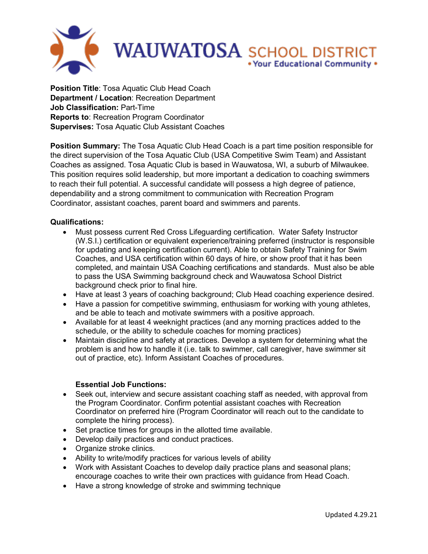

**Position Title**: Tosa Aquatic Club Head Coach **Department / Location**: Recreation Department **Job Classification:** Part-Time **Reports to**: Recreation Program Coordinator **Supervises:** Tosa Aquatic Club Assistant Coaches

**Position Summary:** The Tosa Aquatic Club Head Coach is a part time position responsible for the direct supervision of the Tosa Aquatic Club (USA Competitive Swim Team) and Assistant Coaches as assigned. Tosa Aquatic Club is based in Wauwatosa, WI, a suburb of Milwaukee. This position requires solid leadership, but more important a dedication to coaching swimmers to reach their full potential. A successful candidate will possess a high degree of patience, dependability and a strong commitment to communication with Recreation Program Coordinator, assistant coaches, parent board and swimmers and parents.

## **Qualifications:**

- Must possess current Red Cross Lifeguarding certification. Water Safety Instructor (W.S.I.) certification or equivalent experience/training preferred (instructor is responsible for updating and keeping certification current). Able to obtain Safety Training for Swim Coaches, and USA certification within 60 days of hire, or show proof that it has been completed, and maintain USA Coaching certifications and standards. Must also be able to pass the USA Swimming background check and Wauwatosa School District background check prior to final hire.
- Have at least 3 years of coaching background; Club Head coaching experience desired.
- Have a passion for competitive swimming, enthusiasm for working with young athletes, and be able to teach and motivate swimmers with a positive approach.
- Available for at least 4 weeknight practices (and any morning practices added to the schedule, or the ability to schedule coaches for morning practices)
- Maintain discipline and safety at practices. Develop a system for determining what the problem is and how to handle it (i.e. talk to swimmer, call caregiver, have swimmer sit out of practice, etc). Inform Assistant Coaches of procedures.

## **Essential Job Functions:**

- Seek out, interview and secure assistant coaching staff as needed, with approval from the Program Coordinator. Confirm potential assistant coaches with Recreation Coordinator on preferred hire (Program Coordinator will reach out to the candidate to complete the hiring process).
- Set practice times for groups in the allotted time available.
- Develop daily practices and conduct practices.
- Organize stroke clinics.
- Ability to write/modify practices for various levels of ability
- Work with Assistant Coaches to develop daily practice plans and seasonal plans; encourage coaches to write their own practices with guidance from Head Coach.
- Have a strong knowledge of stroke and swimming technique